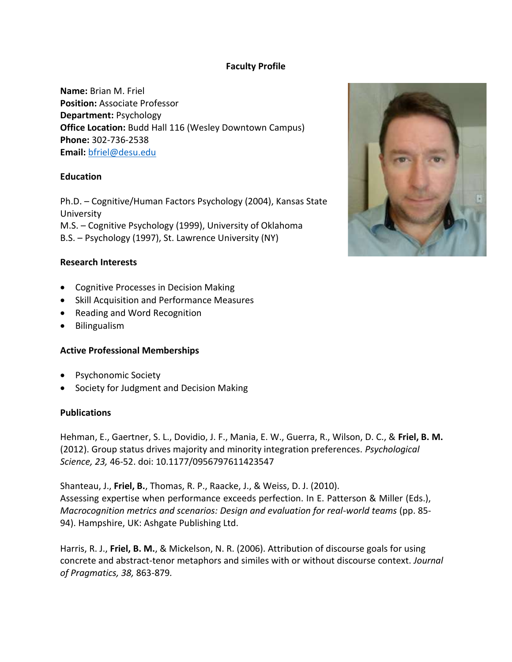## **Faculty Profile**

**Name:** Brian M. Friel **Position:** Associate Professor **Department:** Psychology **Office Location:** Budd Hall 116 (Wesley Downtown Campus) **Phone:** 302-736-2538 **Email:** [bfriel@desu.edu](mailto:bfriel@desu.edu)

### **Education**

Ph.D. – Cognitive/Human Factors Psychology (2004), Kansas State University M.S. – Cognitive Psychology (1999), University of Oklahoma B.S. – Psychology (1997), St. Lawrence University (NY)

### **Research Interests**

- Cognitive Processes in Decision Making
- Skill Acquisition and Performance Measures
- Reading and Word Recognition
- Bilingualism

### **Active Professional Memberships**

- Psychonomic Society
- Society for Judgment and Decision Making

### **Publications**

Hehman, E., Gaertner, S. L., Dovidio, J. F., Mania, E. W., Guerra, R., Wilson, D. C., & **Friel, B. M.** (2012). Group status drives majority and minority integration preferences. *Psychological Science, 23,* 46-52. doi: 10.1177/0956797611423547

Shanteau, J., **Friel, B.**, Thomas, R. P., Raacke, J., & Weiss, D. J. (2010). Assessing expertise when performance exceeds perfection. In E. Patterson & Miller (Eds.), *Macrocognition metrics and scenarios: Design and evaluation for real-world teams (pp. 85-*94). Hampshire, UK: Ashgate Publishing Ltd.

Harris, R. J., **Friel, B. M.**, & Mickelson, N. R. (2006). Attribution of discourse goals for using concrete and abstract-tenor metaphors and similes with or without discourse context. *Journal of Pragmatics, 38,* 863-879*.* 

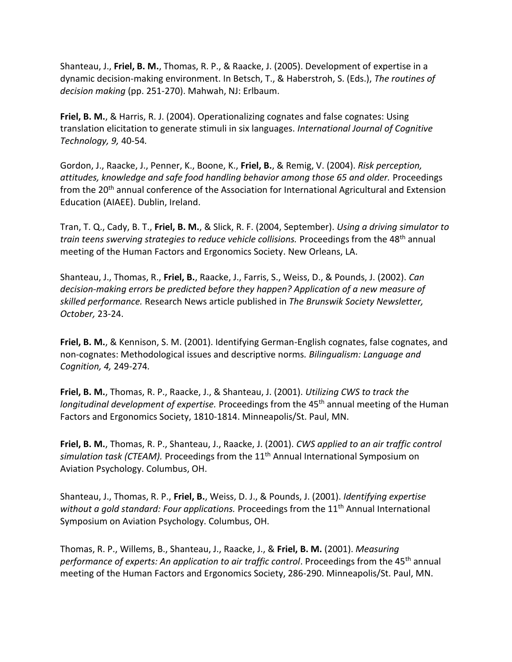Shanteau, J., **Friel, B. M.**, Thomas, R. P., & Raacke, J. (2005). Development of expertise in a dynamic decision-making environment. In Betsch, T., & Haberstroh, S. (Eds.), *The routines of decision making* (pp. 251-270). Mahwah, NJ: Erlbaum.

**Friel, B. M.**, & Harris, R. J. (2004). Operationalizing cognates and false cognates: Using translation elicitation to generate stimuli in six languages. *International Journal of Cognitive Technology, 9,* 40-54*.* 

Gordon, J., Raacke, J., Penner, K., Boone, K., **Friel, B.**, & Remig, V. (2004). *Risk perception, attitudes, knowledge and safe food handling behavior among those 65 and older.* Proceedings from the 20<sup>th</sup> annual conference of the Association for International Agricultural and Extension Education (AIAEE). Dublin, Ireland.

Tran, T. Q., Cady, B. T., **Friel, B. M.**, & Slick, R. F. (2004, September). *Using a driving simulator to train teens swerving strategies to reduce vehicle collisions.* Proceedings from the 48<sup>th</sup> annual meeting of the Human Factors and Ergonomics Society. New Orleans, LA.

Shanteau, J., Thomas, R., **Friel, B.**, Raacke, J., Farris, S., Weiss, D., & Pounds, J. (2002). *Can decision-making errors be predicted before they happen? Application of a new measure of skilled performance.* Research News article published in *The Brunswik Society Newsletter, October,* 23-24.

**Friel, B. M.**, & Kennison, S. M. (2001). Identifying German-English cognates, false cognates, and non-cognates: Methodological issues and descriptive norms*. Bilingualism: Language and Cognition, 4,* 249-274*.* 

**Friel, B. M.**, Thomas, R. P., Raacke, J., & Shanteau, J. (2001). *Utilizing CWS to track the longitudinal development of expertise.* Proceedings from the 45<sup>th</sup> annual meeting of the Human Factors and Ergonomics Society, 1810-1814. Minneapolis/St. Paul, MN.

**Friel, B. M.**, Thomas, R. P., Shanteau, J., Raacke, J. (2001). *CWS applied to an air traffic control*  simulation task (CTEAM). Proceedings from the 11<sup>th</sup> Annual International Symposium on Aviation Psychology. Columbus, OH.

Shanteau, J., Thomas, R. P., **Friel, B.**, Weiss, D. J., & Pounds, J. (2001). *Identifying expertise*  without a gold standard: Four applications. Proceedings from the 11<sup>th</sup> Annual International Symposium on Aviation Psychology. Columbus, OH.

Thomas, R. P., Willems, B., Shanteau, J., Raacke, J., & **Friel, B. M.** (2001). *Measuring performance of experts: An application to air traffic control. Proceedings from the 45<sup>th</sup> annual* meeting of the Human Factors and Ergonomics Society, 286-290. Minneapolis/St. Paul, MN.